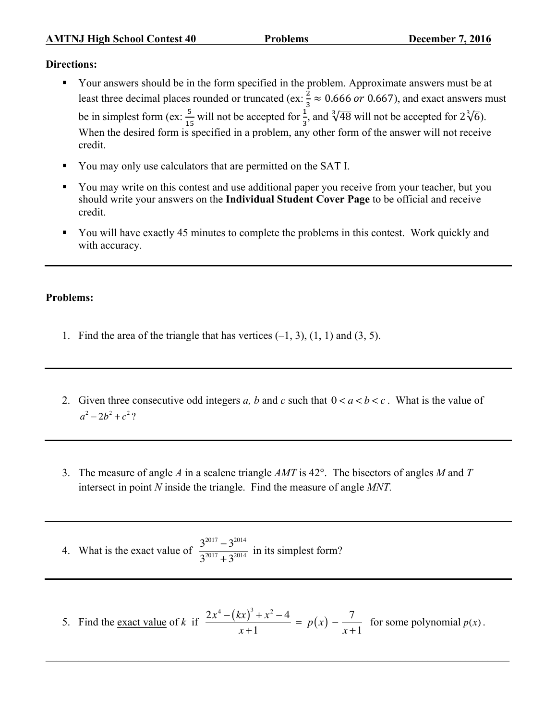## **Directions:**

- § Your answers should be in the form specified in the problem. Approximate answers must be at least three decimal places rounded or truncated (ex:  $\frac{2}{3} \approx 0.666$  or 0.667), and exact answers must be in simplest form (ex:  $\frac{5}{15}$  will not be accepted for  $\frac{1}{3}$ , and  $\sqrt[3]{48}$  will not be accepted for  $2\sqrt[3]{6}$ ). When the desired form is specified in a problem, any other form of the answer will not receive credit.
- § You may only use calculators that are permitted on the SAT I.
- § You may write on this contest and use additional paper you receive from your teacher, but you should write your answers on the **Individual Student Cover Page** to be official and receive credit.
- § You will have exactly 45 minutes to complete the problems in this contest. Work quickly and with accuracy.

## **Problems:**

- 1. Find the area of the triangle that has vertices  $(-1, 3)$ ,  $(1, 1)$  and  $(3, 5)$ .
- 2. Given three consecutive odd integers *a*, *b* and *c* such that  $0 < a < b < c$ . What is the value of  $a^2 - 2b^2 + c^2$ ?
- 3. The measure of angle *A* in a scalene triangle *AMT* is 42°. The bisectors of angles *M* and *T* intersect in point *N* inside the triangle. Find the measure of angle *MNT.*
- 4. What is the exact value of  $\frac{3^{2017} 3^{2014}}{2^{2014} 3^{2014}}$  $\frac{3}{3^{2017}+3^{2014}}$  in its simplest form?
- 5. Find the <u>exact value</u> of *k* if  $\frac{2x^4 (kx)^3 + x^2 4}{x+1} = p(x) \frac{7}{x+1}$  for some polynomial  $p(x)$ .

 $\_$  , and the set of the set of the set of the set of the set of the set of the set of the set of the set of the set of the set of the set of the set of the set of the set of the set of the set of the set of the set of th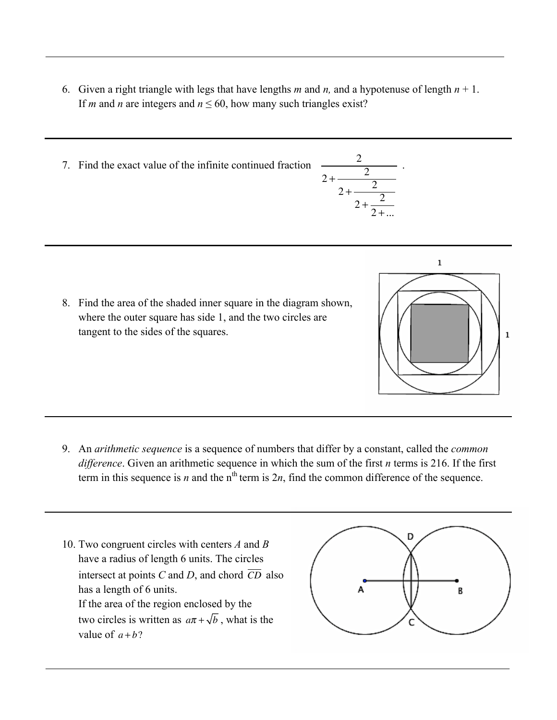6. Given a right triangle with legs that have lengths *m* and *n*, and a hypotenuse of length  $n + 1$ . If *m* and *n* are integers and  $n \le 60$ , how many such triangles exist?

 $2 +$  —

2

.

 $2 + \frac{2}{1}$  $2+\frac{2}{2}$  $2 + ...$ 

 $\mathcal{L}_\mathcal{L} = \mathcal{L}_\mathcal{L} = \mathcal{L}_\mathcal{L} = \mathcal{L}_\mathcal{L} = \mathcal{L}_\mathcal{L} = \mathcal{L}_\mathcal{L} = \mathcal{L}_\mathcal{L} = \mathcal{L}_\mathcal{L} = \mathcal{L}_\mathcal{L} = \mathcal{L}_\mathcal{L} = \mathcal{L}_\mathcal{L} = \mathcal{L}_\mathcal{L} = \mathcal{L}_\mathcal{L} = \mathcal{L}_\mathcal{L} = \mathcal{L}_\mathcal{L} = \mathcal{L}_\mathcal{L} = \mathcal{L}_\mathcal{L}$ 

7. Find the exact value of the infinite continued fraction <sup>2</sup>

8. Find the area of the shaded inner square in the diagram shown, where the outer square has side 1, and the two circles are tangent to the sides of the squares.

9. An *arithmetic sequence* is a sequence of numbers that differ by a constant, called the *common difference*. Given an arithmetic sequence in which the sum of the first *n* terms is 216. If the first term in this sequence is *n* and the  $n<sup>th</sup>$  term is  $2n$ , find the common difference of the sequence.

 $\_$  , and the set of the set of the set of the set of the set of the set of the set of the set of the set of the set of the set of the set of the set of the set of the set of the set of the set of the set of the set of th

10. Two congruent circles with centers *A* and *B* have a radius of length 6 units. The circles intersect at points  $C$  and  $D$ , and chord  $\overline{CD}$  also has a length of 6 units. If the area of the region enclosed by the two circles is written as  $a\pi + \sqrt{b}$ , what is the value of  $a + b$ ?